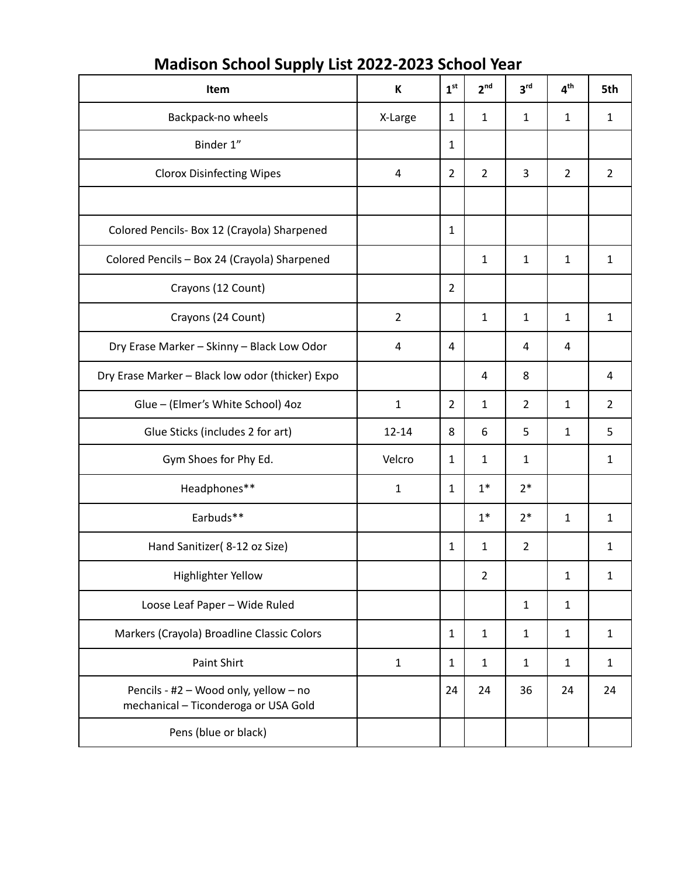| Item                                                                          | K              | 1 <sup>st</sup> | 2 <sup>nd</sup> | 3 <sup>rd</sup> | 4 <sup>th</sup> | 5th            |
|-------------------------------------------------------------------------------|----------------|-----------------|-----------------|-----------------|-----------------|----------------|
| Backpack-no wheels                                                            | X-Large        | 1               | $\mathbf{1}$    | 1               | $\mathbf{1}$    | $\mathbf{1}$   |
| Binder 1"                                                                     |                | 1               |                 |                 |                 |                |
| <b>Clorox Disinfecting Wipes</b>                                              | $\overline{4}$ | $\overline{2}$  | $\overline{2}$  | 3               | $\overline{2}$  | $\overline{2}$ |
|                                                                               |                |                 |                 |                 |                 |                |
| Colored Pencils- Box 12 (Crayola) Sharpened                                   |                | 1               |                 |                 |                 |                |
| Colored Pencils - Box 24 (Crayola) Sharpened                                  |                |                 | $\mathbf{1}$    | 1               | $\mathbf{1}$    | $\mathbf{1}$   |
| Crayons (12 Count)                                                            |                | $\overline{2}$  |                 |                 |                 |                |
| Crayons (24 Count)                                                            | $\overline{2}$ |                 | $\mathbf{1}$    | $\mathbf{1}$    | $\mathbf{1}$    | $\mathbf{1}$   |
| Dry Erase Marker - Skinny - Black Low Odor                                    | 4              | 4               |                 | 4               | 4               |                |
| Dry Erase Marker - Black low odor (thicker) Expo                              |                |                 | $\overline{4}$  | 8               |                 | 4              |
| Glue - (Elmer's White School) 4oz                                             | $\mathbf 1$    | $\overline{2}$  | $\mathbf{1}$    | $\overline{2}$  | $\mathbf{1}$    | $\overline{2}$ |
| Glue Sticks (includes 2 for art)                                              | $12 - 14$      | 8               | 6               | 5               | $\mathbf{1}$    | 5              |
| Gym Shoes for Phy Ed.                                                         | Velcro         | 1               | $\mathbf{1}$    | 1               |                 | $\mathbf{1}$   |
| Headphones**                                                                  | $\mathbf{1}$   | 1               | $1*$            | $2*$            |                 |                |
| Earbuds**                                                                     |                |                 | $1^*$           | $2*$            | $\mathbf{1}$    | $\mathbf{1}$   |
| Hand Sanitizer(8-12 oz Size)                                                  |                | $\mathbf{1}$    | $\mathbf{1}$    | $\overline{2}$  |                 | $\mathbf{1}$   |
| <b>Highlighter Yellow</b>                                                     |                |                 | 2               |                 | 1               | 1              |
| Loose Leaf Paper - Wide Ruled                                                 |                |                 |                 | 1               | $\mathbf{1}$    |                |
| Markers (Crayola) Broadline Classic Colors                                    |                | 1               | $\mathbf{1}$    | $\mathbf{1}$    | $\mathbf{1}$    | $\mathbf{1}$   |
| Paint Shirt                                                                   | $\mathbf{1}$   | 1               | $\mathbf{1}$    | 1               | $\mathbf{1}$    | $\mathbf{1}$   |
| Pencils - #2 - Wood only, yellow - no<br>mechanical - Ticonderoga or USA Gold |                | 24              | 24              | 36              | 24              | 24             |
| Pens (blue or black)                                                          |                |                 |                 |                 |                 |                |

## **Madison School Supply List 2022-2023 School Year**